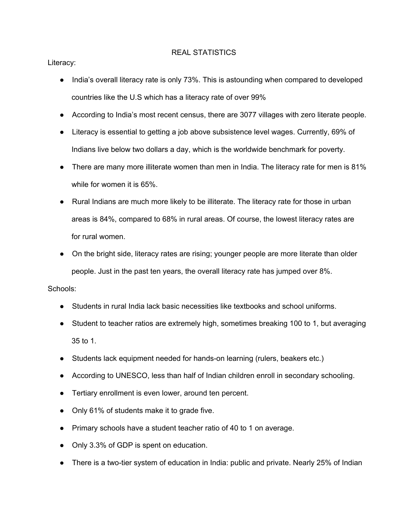## REAL STATISTICS

Literacy:

- India's overall literacy rate is only 73%. This is astounding when compared to developed countries like the U.S which has a literacy rate of over 99%
- According to India's most recent census, there are 3077 villages with zero literate people.
- Literacy is essential to getting a job above subsistence level wages. Currently, 69% of Indians live below two dollars a day, which is the worldwide benchmark for poverty.
- There are many more illiterate women than men in India. The literacy rate for men is 81% while for women it is 65%.
- Rural Indians are much more likely to be illiterate. The literacy rate for those in urban areas is 84%, compared to 68% in rural areas. Of course, the lowest literacy rates are for rural women.
- On the bright side, literacy rates are rising; younger people are more literate than older people. Just in the past ten years, the overall literacy rate has jumped over 8%.

## Schools:

- Students in rural India lack basic necessities like textbooks and school uniforms.
- Student to teacher ratios are extremely high, sometimes breaking 100 to 1, but averaging 35 to 1.
- Students lack equipment needed for hands-on learning (rulers, beakers etc.)
- According to UNESCO, less than half of Indian children enroll in secondary schooling.
- Tertiary enrollment is even lower, around ten percent.
- Only 61% of students make it to grade five.
- Primary schools have a student teacher ratio of 40 to 1 on average.
- Only 3.3% of GDP is spent on education.
- There is a two-tier system of education in India: public and private. Nearly 25% of Indian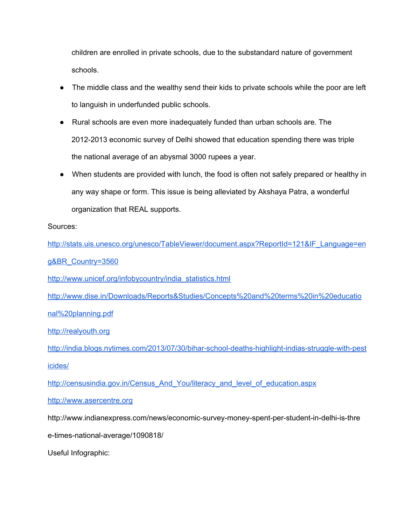children are enrolled in private schools, due to the substandard nature of government schools.

- The middle class and the wealthy send their kids to private schools while the poor are left to languish in underfunded public schools.
- Rural schools are even more inadequately funded than urban schools are. The 2012-2013 economic survey of Delhi showed that education spending there was triple the national average of an abysmal 3000 rupees a year.
- When students are provided with lunch, the food is often not safely prepared or healthy in any way shape or form. This issue is being alleviated by Akshaya Patra, a wonderful organization that REAL supports.

## Sources:

[http://stats.uis.unesco.org/unesco/TableViewer/document.aspx?ReportId=121&IF\\_Language=en](http://www.google.com/url?q=http%3A%2F%2Fstats.uis.unesco.org%2Funesco%2FTableViewer%2Fdocument.aspx%3FReportId%3D121%26IF_Language%3Deng%26BR_Country%3D3560&sa=D&sntz=1&usg=AFQjCNH7n3wt3xBZLcKWst8NlLg_Q0rqBA)

[g&BR\\_Country=3560](http://www.google.com/url?q=http%3A%2F%2Fstats.uis.unesco.org%2Funesco%2FTableViewer%2Fdocument.aspx%3FReportId%3D121%26IF_Language%3Deng%26BR_Country%3D3560&sa=D&sntz=1&usg=AFQjCNH7n3wt3xBZLcKWst8NlLg_Q0rqBA)

[http://www.unicef.org/infobycountry/india\\_statistics.html](http://www.google.com/url?q=http%3A%2F%2Fwww.unicef.org%2Finfobycountry%2Findia_statistics.html&sa=D&sntz=1&usg=AFQjCNEbdvMBCqzVmpx749vfIrPyhbxWhQ)

[http://www.dise.in/Downloads/Reports&Studies/Concepts%20and%20terms%20in%20educatio](http://www.google.com/url?q=http%3A%2F%2Fwww.dise.in%2FDownloads%2FReports%26Studies%2FConcepts%2520and%2520terms%2520in%2520educational%2520planning.pdf&sa=D&sntz=1&usg=AFQjCNFhbWame7nSLsmsA72tysrl-t0icQ) [nal%20planning.pdf](http://www.google.com/url?q=http%3A%2F%2Fwww.dise.in%2FDownloads%2FReports%26Studies%2FConcepts%2520and%2520terms%2520in%2520educational%2520planning.pdf&sa=D&sntz=1&usg=AFQjCNFhbWame7nSLsmsA72tysrl-t0icQ)

[http://realyouth.org](http://www.google.com/url?q=http%3A%2F%2Frealyouth.org&sa=D&sntz=1&usg=AFQjCNEUqP-Nz8_mAdDjZGP6U27giFLSOA)

http://india.blogs.nytimes.com/2013/07/30/bihar-school-deaths-highlight-indias-struggle-with-pest [icides/](http://www.google.com/url?q=http%3A%2F%2Findia.blogs.nytimes.com%2F2013%2F07%2F30%2Fbihar-school-deaths-highlight-indias-struggle-with-pesticides%2F&sa=D&sntz=1&usg=AFQjCNFX14Vj63HdRzS4sTEFZY8xKnFCfg)

[http://censusindia.gov.in/Census\\_And\\_You/literacy\\_and\\_level\\_of\\_education.aspx](http://www.google.com/url?q=http%3A%2F%2Fcensusindia.gov.in%2FCensus_And_You%2Fliteracy_and_level_of_education.aspx&sa=D&sntz=1&usg=AFQjCNFKsuxNgkOEc2murL8Z9FKlwqf4uA)

[http://www.asercentre.org](http://www.google.com/url?q=http%3A%2F%2Fwww.asercentre.org&sa=D&sntz=1&usg=AFQjCNFDm2_CEdFxwUZxR_LBiFuiAChXaA)

http://www.indianexpress.com/news/economic-survey-money-spent-per-student-in-delhi-is-thre

e-times-national-average/1090818/

Useful Infographic: